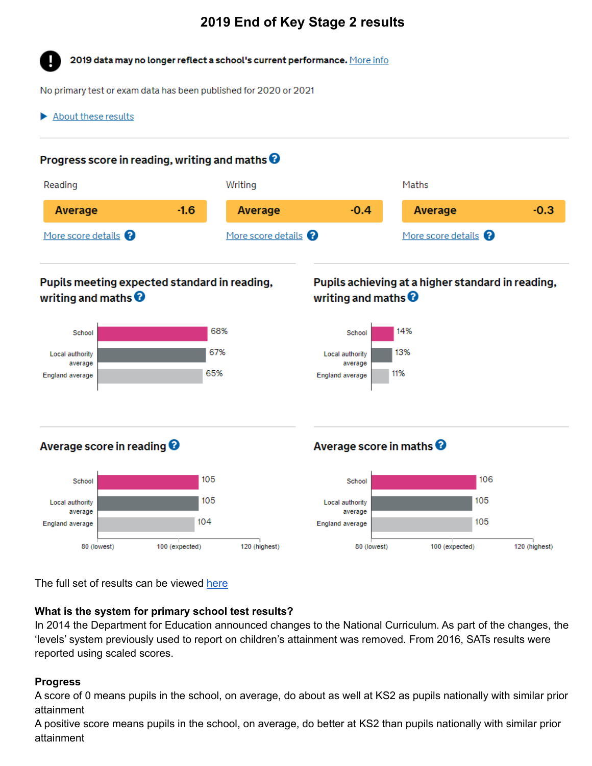# **2019 End of Key Stage 2 results**

2019 data may no longer reflect a school's current performance. More info

No primary test or exam data has been published for 2020 or 2021

About these results

### Progress score in reading, writing and maths  $\boldsymbol{\Theta}$



## Pupils meeting expected standard in reading, writing and maths  $\boldsymbol{\Theta}$



## Pupils achieving at a higher standard in reading, writing and maths  $\boldsymbol{\Theta}$



### Average score in reading <sup>0</sup>



## Average score in maths <sup>O</sup>



The full set of results can be viewed [here](https://www.compare-school-performance.service.gov.uk/school/117400/wormley-cofe-primary-school/primary)

### **What is the system for primary school test results?**

In 2014 the Department for Education announced changes to the National Curriculum. As part of the changes, the 'levels' system previously used to report on children's attainment was removed. From 2016, SATs results were reported using scaled scores.

#### **Progress**

A score of 0 means pupils in the school, on average, do about as well at KS2 as pupils nationally with similar prior attainment

A positive score means pupils in the school, on average, do better at KS2 than pupils nationally with similar prior attainment